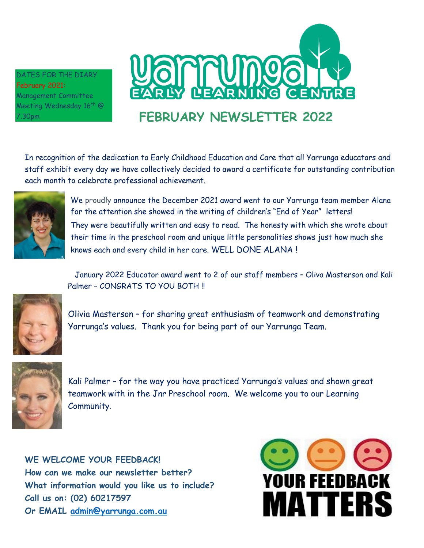DATES FOR THE DIARY February 2021: Management Committee Meeting Wednesday 16th  $@$ 7.30pm



In recognition of the dedication to Early Childhood Education and Care that all Yarrunga educators and staff exhibit every day we have collectively decided to award a certificate for outstanding contribution each month to celebrate professional achievement.



We proudly announce the December 2021 award went to our Yarrunga team member Alana for the attention she showed in the writing of children's "End of Year" letters! They were beautifully written and easy to read. The honesty with which she wrote about their time in the preschool room and unique little personalities shows just how much she knows each and every child in her care. WELL DONE ALANA !

January 2022 Educator award went to 2 of our staff members – Oliva Masterson and Kali Palmer - CONGRATS TO YOU BOTH !!



Olivia Masterson – for sharing great enthusiasm of teamwork and demonstrating Yarrunga's values. Thank you for being part of our Yarrunga Team.



Kali Palmer – for the way you have practiced Yarrunga's values and shown great teamwork with in the Jnr Preschool room. We welcome you to our Learning Community.

**WE WELCOME YOUR FEEDBACK! How can we make our newsletter better? What information would you like us to include? Call us on: (02) 60217597 Or EMAIL [admin@yarrunga.com.au](mailto:admin@yarrunga.com.au)**

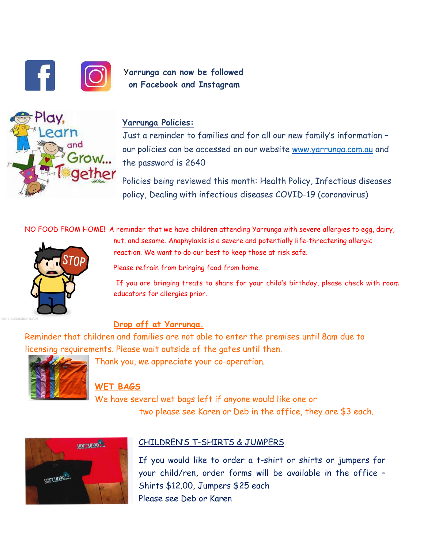



# Y**arrunga can now be followed on Facebook and Instagram**

## **Yarrunga Policies:**

Just a reminder to families and for all our new family's information – our policies can be accessed on our website [www.yarrunga.com.au](http://www.yarrunga.com.au/) and the password is 2640

Policies being reviewed this month: Health Policy, Infectious diseases policy, Dealing with infectious diseases COVID-19 (coronavirus)

NO FOOD FROM HOME! A reminder that we have children attending Yarrunga with severe allergies to egg, dairy,



nut, and sesame. Anaphylaxis is a severe and potentially life-threatening allergic reaction. We want to do our best to keep those at risk safe.

Please refrain from bringing food from home.

If you are bringing treats to share for your child's birthday, please check with room educators for allergies prior.

## **Drop off at Yarrunga.**

Reminder that children and families are not able to enter the premises until 8am due to licensing requirements. Please wait outside of the gates until then.



Thank you, we appreciate your co-operation.

# **WET BAGS**

We have several wet bags left if anyone would like one or two please see Karen or Deb in the office, they are \$3 each.



## CHILDREN'S T-SHIRTS & JUMPERS

If you would like to order a t-shirt or shirts or jumpers for your child/ren, order forms will be available in the office – Shirts \$12.00, Jumpers \$25 each Please see Deb or Karen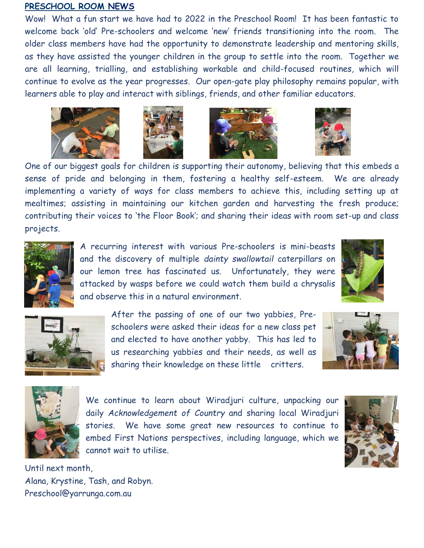### **PRESCHOOL ROOM NEWS**

Wow! What a fun start we have had to 2022 in the Preschool Room! It has been fantastic to welcome back 'old' Pre-schoolers and welcome 'new' friends transitioning into the room. The older class members have had the opportunity to demonstrate leadership and mentoring skills, as they have assisted the younger children in the group to settle into the room. Together we are all learning, trialling, and establishing workable and child-focused routines, which will continue to evolve as the year progresses. Our open-gate play philosophy remains popular, with learners able to play and interact with siblings, friends, and other familiar educators.









One of our biggest goals for children is supporting their autonomy, believing that this embeds a sense of pride and belonging in them, fostering a healthy self-esteem. We are already implementing a variety of ways for class members to achieve this, including setting up at mealtimes; assisting in maintaining our kitchen garden and harvesting the fresh produce; contributing their voices to 'the Floor Book'; and sharing their ideas with room set-up and class projects.



A recurring interest with various Pre-schoolers is mini-beasts and the discovery of multiple *dainty swallowtail* caterpillars on our lemon tree has fascinated us. Unfortunately, they were attacked by wasps before we could watch them build a chrysalis and observe this in a natural environment.





After the passing of one of our two yabbies, Preschoolers were asked their ideas for a new class pet and elected to have another yabby. This has led to us researching yabbies and their needs, as well as sharing their knowledge on these little critters.





We continue to learn about Wiradjuri culture, unpacking our daily *Acknowledgement of Country* and sharing local Wiradjuri stories. We have some great new resources to continue to embed First Nations perspectives, including language, which we cannot wait to utilise.



Until next month, Alana, Krystine, Tash, and Robyn. Preschool@yarrunga.com.au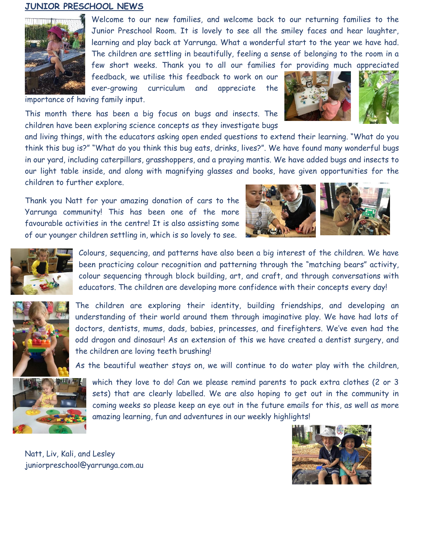### **JUNIOR PRESCHOOL NEWS**



Welcome to our new families, and welcome back to our returning families to the Junior Preschool Room. It is lovely to see all the smiley faces and hear laughter, learning and play back at Yarrunga. What a wonderful start to the year we have had. The children are settling in beautifully, feeling a sense of belonging to the room in a few short weeks. Thank you to all our families for providing much appreciated

feedback, we utilise this feedback to work on our ever-growing curriculum and appreciate the

importance of having family input.

This month there has been a big focus on bugs and insects. The children have been exploring science concepts as they investigate bugs

and living things, with the educators asking open ended questions to extend their learning. "What do you think this bug is?" "What do you think this bug eats, drinks, lives?". We have found many wonderful bugs in our yard, including caterpillars, grasshoppers, and a praying mantis. We have added bugs and insects to our light table inside, and along with magnifying glasses and books, have given opportunities for the children to further explore.

Thank you Natt for your amazing donation of cars to the Yarrunga community! This has been one of the more favourable activities in the centre! It is also assisting some of our younger children settling in, which is so lovely to see.





Colours, sequencing, and patterns have also been a big interest of the children. We have been practicing colour recognition and patterning through the "matching bears" activity, colour sequencing through block building, art, and craft, and through conversations with educators. The children are developing more confidence with their concepts every day!



The children are exploring their identity, building friendships, and developing an understanding of their world around them through imaginative play. We have had lots of doctors, dentists, mums, dads, babies, princesses, and firefighters. We've even had the odd dragon and dinosaur! As an extension of this we have created a dentist surgery, and the children are loving teeth brushing!

As the beautiful weather stays on, we will continue to do water play with the children,



which they love to do! Can we please remind parents to pack extra clothes (2 or 3 sets) that are clearly labelled. We are also hoping to get out in the community in coming weeks so please keep an eye out in the future emails for this, as well as more amazing learning, fun and adventures in our weekly highlights!

Natt, Liv, Kali, and Lesley juniorpreschool@yarrunga.com.au

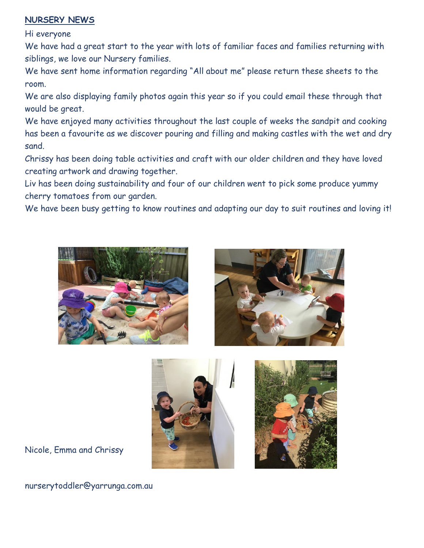## **NURSERY NEWS**

Hi everyone

We have had a great start to the year with lots of familiar faces and families returning with siblings, we love our Nursery families.

We have sent home information regarding "All about me" please return these sheets to the room.

We are also displaying family photos again this year so if you could email these through that would be great.

We have enjoyed many activities throughout the last couple of weeks the sandpit and cooking has been a favourite as we discover pouring and filling and making castles with the wet and dry sand.

Chrissy has been doing table activities and craft with our older children and they have loved creating artwork and drawing together.

Liv has been doing sustainability and four of our children went to pick some produce yummy cherry tomatoes from our garden.

We have been busy getting to know routines and adapting our day to suit routines and loving it!







Nicole, Emma and Chrissy

nurserytoddler@yarrunga.com.au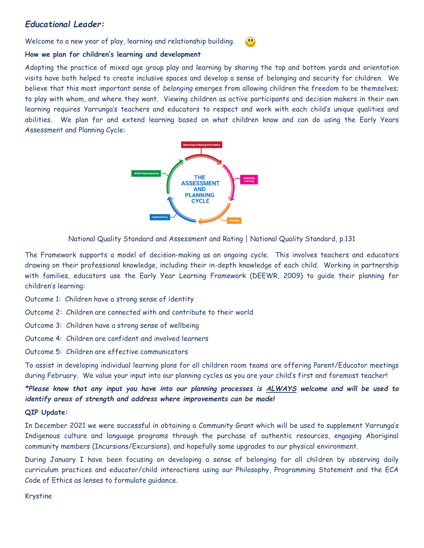### *Educational Leader:*

Welcome to a new year of play, learning and relationship building.

# $\left( \begin{matrix} 0 \\ 1 \end{matrix} \right)$

### **How we plan for children's learning and development**

Adopting the practice of mixed age group play and learning by sharing the top and bottom yards and orientation visits have both helped to create inclusive spaces and develop a sense of belonging and security for children. We believe that this most important sense of *belonging* emerges from allowing children the freedom to be themselves; to play with whom, and where they want. Viewing children as active participants and decision makers in their own learning requires Yarrunga's teachers and educators to respect and work with each child's unique qualities and abilities. We plan for and extend learning based on what children know and can do using the Early Years Assessment and Planning Cycle:



National Quality Standard and Assessment and Rating | National Quality Standard, p.131

The Framework supports a model of decision-making as an ongoing cycle. This involves teachers and educators drawing on their professional knowledge, including their in-depth knowledge of each child. Working in partnership with families, educators use the Early Year Learning Framework (DEEWR, 2009) to guide their planning for children's learning:

Outcome 1: Children have a strong sense of identity

Outcome 2: Children are connected with and contribute to their world

Outcome 3: Children have a strong sense of wellbeing

Outcome 4: Children are confident and involved learners

Outcome 5: Children are effective communicators

To assist in developing individual learning plans for all children room teams are offering Parent/Educator meetings during February. We value your input into our planning cycles as you are your child's first and foremost teacher!

*\*Please know that any input you have into our planning processes is ALWAYS welcome and will be used to identify areas of strength and address where improvements can be made!*

### **QIP Update:**

In December 2021 we were successful in obtaining a Community Grant which will be used to supplement Yarrunga's Indigenous culture and language programs through the purchase of authentic resources, engaging Aboriginal community members (Incursions/Excursions), and hopefully some upgrades to our physical environment.

During January I have been focusing on developing a sense of belonging for all children by observing daily curriculum practices and educator/child interactions using our Philosophy, Programming Statement and the ECA Code of Ethics as lenses to formulate guidance.

Krystine